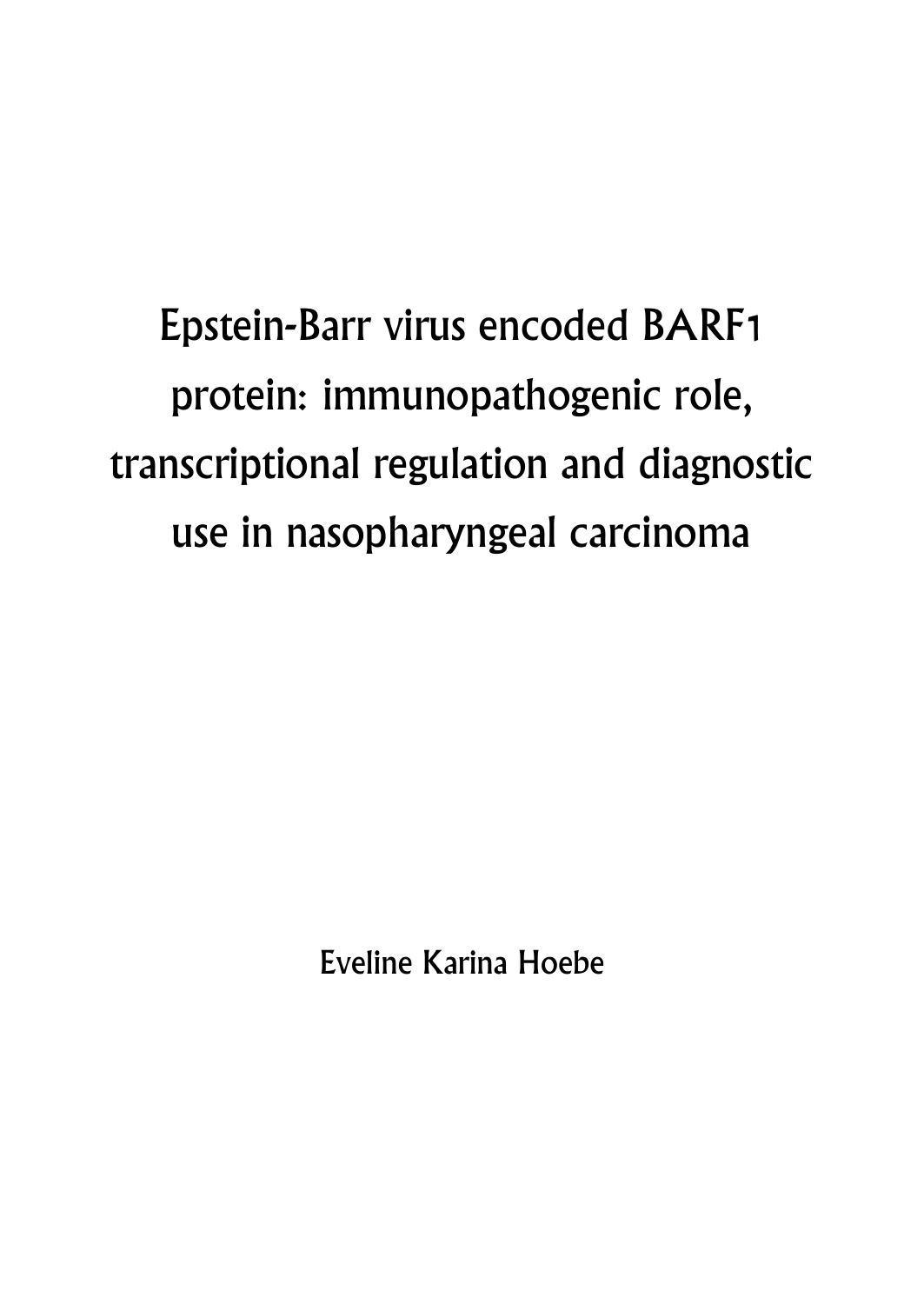Epstein-Barr virus encoded BARF1 protein: immunopathogenic role, transcriptional regulation and diagnostic use in nasopharyngeal carcinoma

Eveline Karina Hoebe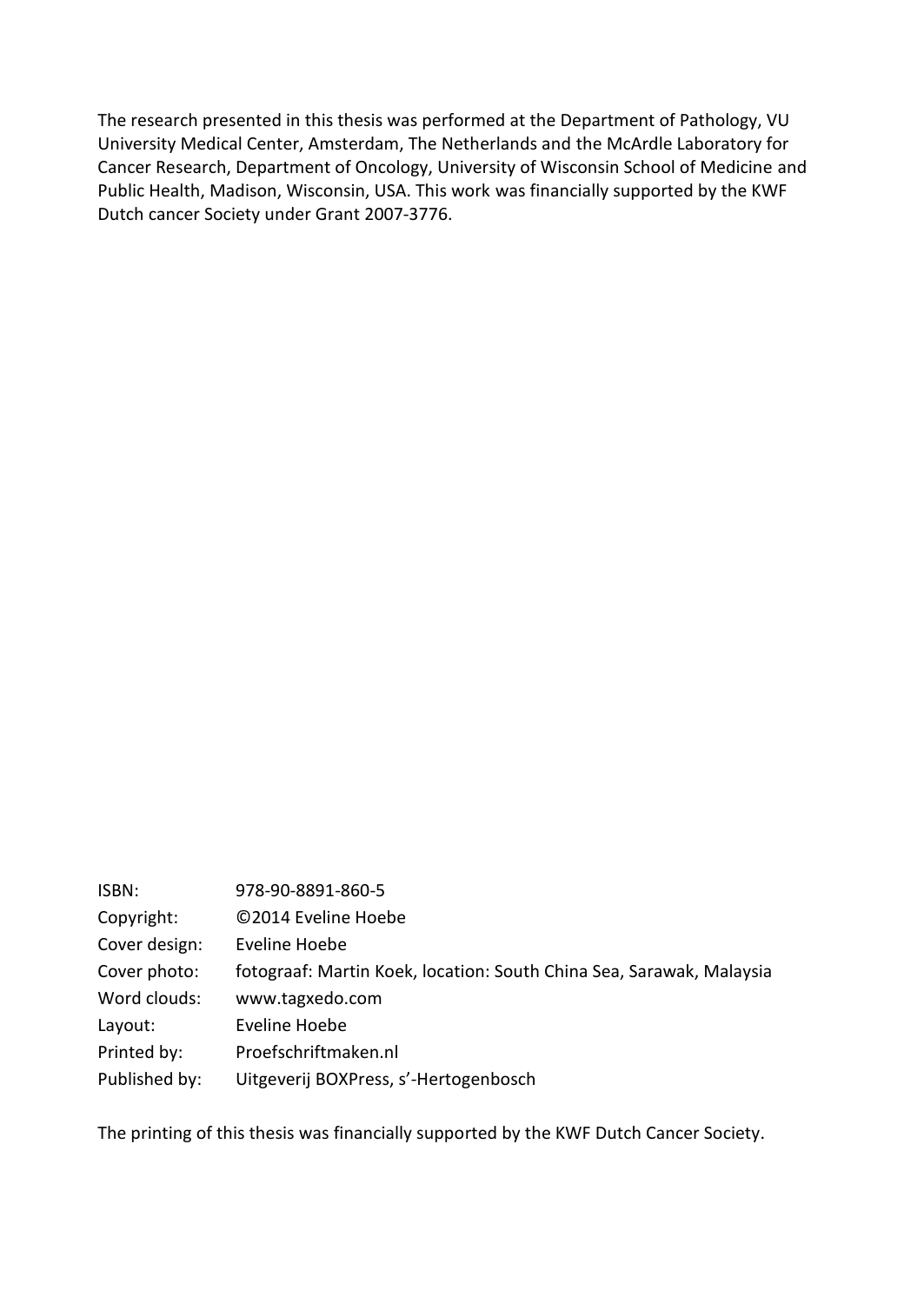The research presented in this thesis was performed at the Department of Pathology, VU University Medical Center, Amsterdam, The Netherlands and the McArdle Laboratory for Cancer Research, Department of Oncology, University of Wisconsin School of Medicine and Public Health, Madison, Wisconsin, USA. This work was financially supported by the KWF Dutch cancer Society under Grant 2007-3776.

| ISBN:         | 978-90-8891-860-5                                                    |
|---------------|----------------------------------------------------------------------|
| Copyright:    | ©2014 Eveline Hoebe                                                  |
| Cover design: | Eveline Hoebe                                                        |
| Cover photo:  | fotograaf: Martin Koek, location: South China Sea, Sarawak, Malaysia |
| Word clouds:  | www.tagxedo.com                                                      |
| Layout:       | Eveline Hoebe                                                        |
| Printed by:   | Proefschriftmaken.nl                                                 |
| Published by: | Uitgeverij BOXPress, s'-Hertogenbosch                                |

The printing of this thesis was financially supported by the KWF Dutch Cancer Society.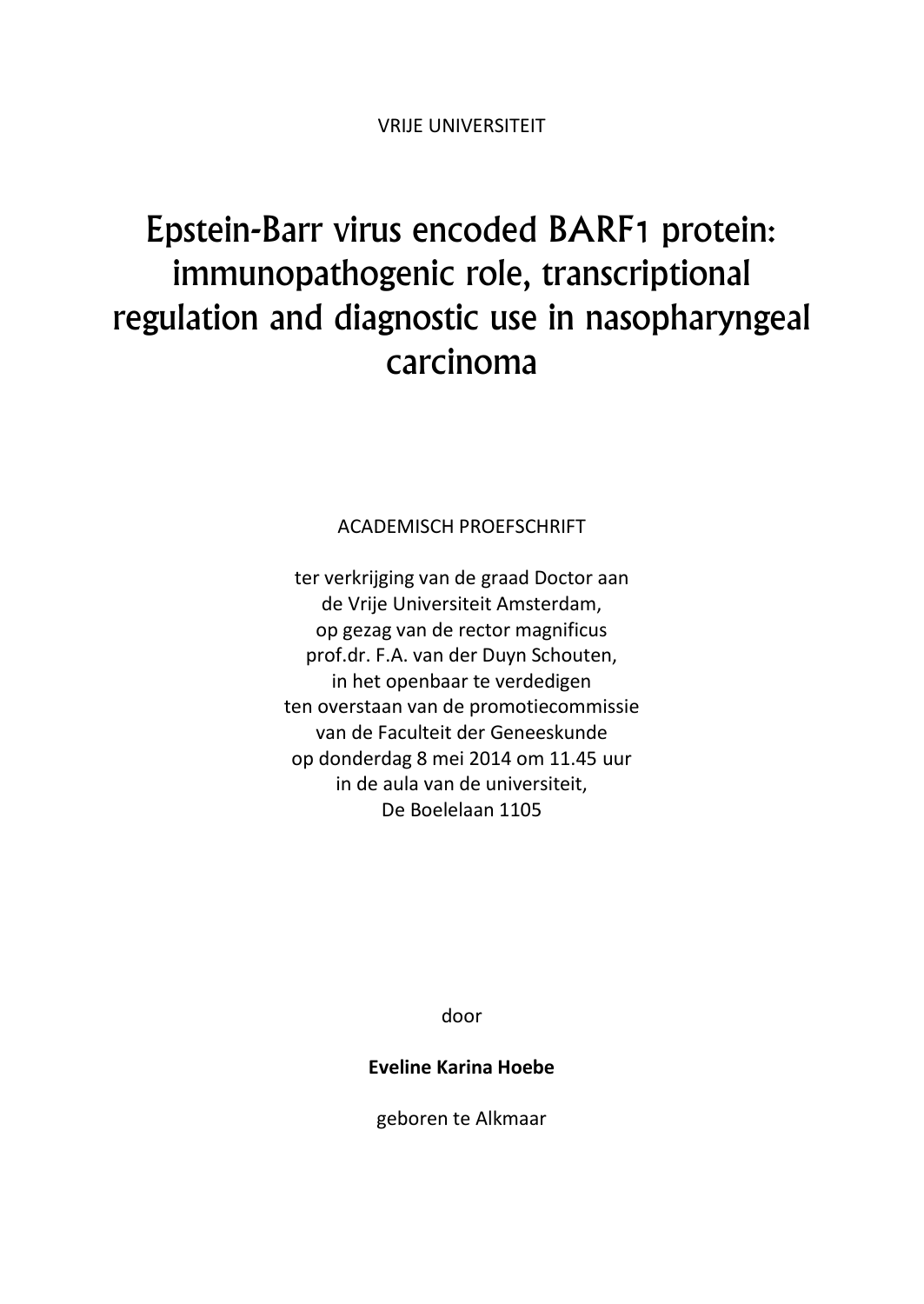## Epstein-Barr virus encoded BARF1 protein: immunopathogenic role, transcriptional regulation and diagnostic use in nasopharyngeal carcinoma

ACADEMISCH PROEFSCHRIFT

ter verkrijging van de graad Doctor aan de Vrije Universiteit Amsterdam, op gezag van de rector magnificus prof.dr. F.A. van der Duyn Schouten, in het openbaar te verdedigen ten overstaan van de promotiecommissie van de Faculteit der Geneeskunde op donderdag 8 mei 2014 om 11.45 uur in de aula van de universiteit, De Boelelaan 1105

door

**Eveline Karina Hoebe**

geboren te Alkmaar